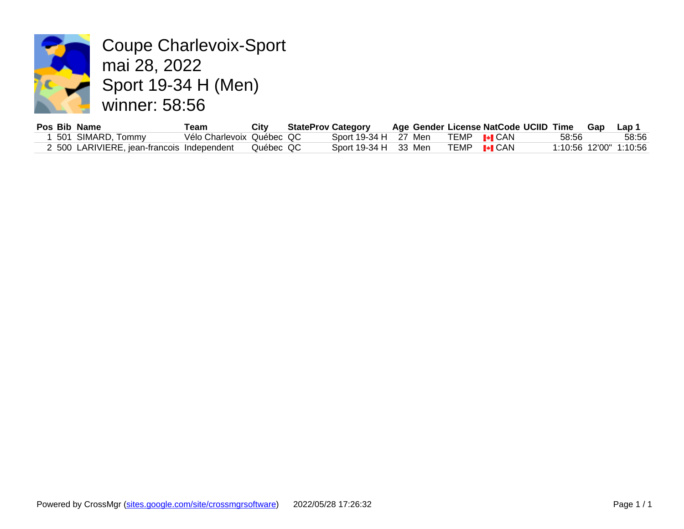

Coupe Charlevoix-Sport mai 28, 2022 Sport 19-34 H (Men) winner: 58:56

|  | Pos Bib Name                               | ⊤eam                      | Citv       | <b>StateProv Category</b> |                      |  |             | Age Gender License NatCode U |
|--|--------------------------------------------|---------------------------|------------|---------------------------|----------------------|--|-------------|------------------------------|
|  | . 501 SIMARD, Tommy                        | Vélo Charlevoix Québec QC |            |                           | Sport 19-34 H 27 Men |  | TEMP        | I+I CAN                      |
|  | 2 500 LARIVIERE, jean-francois Independent |                           | Québec QC. |                           | Sport 19-34 H 33 Men |  | <b>TEMP</b> | <b>I</b> +LCAN               |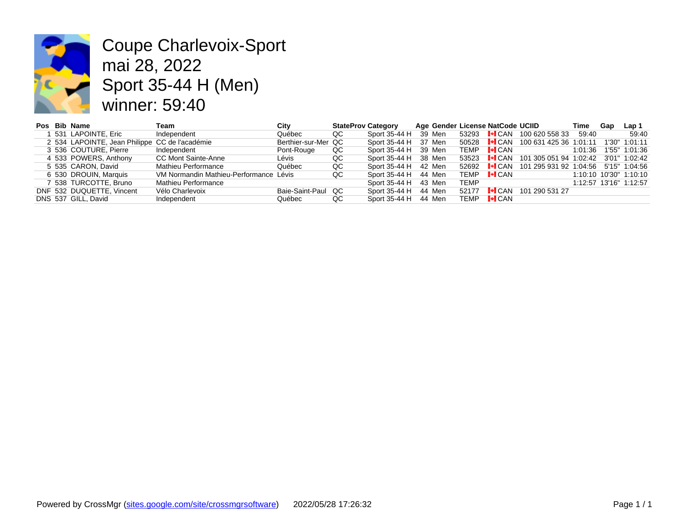

## Coupe Charlevoix-Sport mai 28, 2022 Sport 35-44 H (Men) winner: 59:40

|  | Pos Bib Name                                   | Team                                   | City                | <b>StateProv Category</b> |                      |        |                     | Age Gender License NatCode UO |  |
|--|------------------------------------------------|----------------------------------------|---------------------|---------------------------|----------------------|--------|---------------------|-------------------------------|--|
|  | 531 LAPOINTE, Eric                             | Independent                            | Québec              | QC                        | Sport 35-44 H        | 39 Men |                     | 53293 <b>I CAN</b> 10         |  |
|  | 2 534 LAPOINTE, Jean Philippe CC de l'académie |                                        | Berthier-sur-Mer QC |                           | Sport 35-44 H 37 Men |        |                     | 50528 <b>I</b> •ICAN 10       |  |
|  | 3 536 COUTURE, Pierre                          | Independent                            | Pont-Rouge          | QC                        | Sport 35-44 H 39 Men |        | TEMP <b>I</b> •ICAN |                               |  |
|  | 4 533 POWERS, Anthony                          | CC Mont Sainte-Anne                    | Lévis               | QC                        | Sport 35-44 H 38 Men |        |                     | 53523 <b>I.</b> CAN 10        |  |
|  | 5 535 CARON, David                             | Mathieu Performance                    | Québec              | QC                        | Sport 35-44 H 42 Men |        |                     | 52692 <b>I</b> •ICAN 10       |  |
|  | 6 530 DROUIN, Marquis                          | VM Normandin Mathieu-Performance Lévis |                     | QC                        | Sport 35-44 H 44 Men |        | TEMP <b>I</b> •ICAN |                               |  |
|  | 7 538 TURCOTTE, Bruno                          | Mathieu Performance                    |                     |                           | Sport 35-44 H        | 43 Men | <b>TEMP</b>         |                               |  |
|  | DNF 532 DUQUETTE, Vincent                      | Vélo Charlevoix                        | Baie-Saint-Paul QC  |                           | Sport 35-44 H        | 44 Men |                     | 52177 <b> *</b> CAN 10        |  |
|  | DNS 537 GILL, David                            | Independent                            | Québec              | QC                        | Sport 35-44 H        | 44 Men | TEMP <b>I</b> •ICAN |                               |  |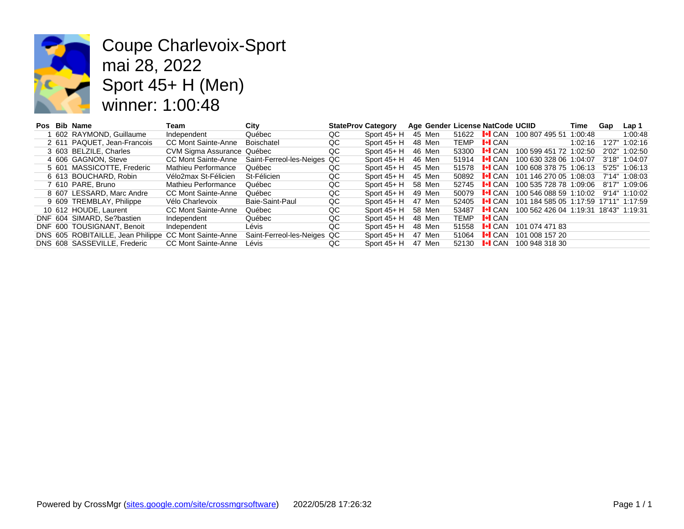

Coupe Charlevoix-Sport mai 28, 2022 Sport 45+ H (Men) winner: 1:00:48

|  | Pos Bib Name                                          | Team                       | City                        | <b>StateProv Category</b> |               |        |       | Age Gender License NatCode UCI |      |
|--|-------------------------------------------------------|----------------------------|-----------------------------|---------------------------|---------------|--------|-------|--------------------------------|------|
|  | 602 RAYMOND, Guillaume                                | Independent                | Québec                      | QC                        | Sport $45+$ H | 45 Men | 51622 | $\mathsf{H}$ CAN               | 100  |
|  | 2 611 PAQUET, Jean-Francois                           | <b>CC Mont Sainte-Anne</b> | Boischatel                  | QC                        | Sport $45+$ H | 48 Men | TEMP  | $\vdash$ CAN                   |      |
|  | 3 603 BELZILE, Charles                                | CVM Sigma Assurance Québec |                             | QC                        | Sport $45+$ H | 46 Men | 53300 | $\mathsf{L}$ CAN               | 100  |
|  | 4 606 GAGNON, Steve                                   | CC Mont Sainte-Anne        | Saint-Ferreol-les-Neiges QC |                           | Sport $45+$ H | 46 Men | 51914 | $\lvert \cdot \rvert$ CAN      | 100  |
|  | 5 601 MASSICOTTE, Frederic                            | Mathieu Performance        | Québec                      | QC                        | Sport $45+$ H | 45 Men | 51578 | $\lvert \cdot \rvert$ CAN      | 100  |
|  | 6 613 BOUCHARD, Robin                                 | Vélo2max St-Félicien       | St-Félicien                 | QC                        | Sport $45+$ H | 45 Men | 50892 | $\lvert \cdot \rvert$ CAN      | 101I |
|  | 7 610 PARE, Bruno                                     | Mathieu Performance        | Québec                      | QC                        | Sport $45+$ H | 58 Men | 52745 | $\lVert \cdot \rVert$ CAN      | 100  |
|  | 8 607 LESSARD, Marc Andre                             | CC Mont Sainte-Anne        | Québec                      | QC                        | Sport $45+$ H | 49 Men | 50079 | $\lVert \cdot \rVert$ CAN      | 100  |
|  | 9 609 TREMBLAY, Philippe                              | Vélo Charlevoix            | Baie-Saint-Paul             | QC                        | Sport $45+$ H | 47 Men | 52405 | $\lVert \cdot \rVert$ CAN      | 101  |
|  | 10 612 HOUDE, Laurent                                 | CC Mont Sainte-Anne        | Québec                      | QC                        | Sport $45+$ H | 58 Men | 53487 | $\mathsf{L}\mathsf{L}$ CAN     | 100  |
|  | DNF 604 SIMARD, Se?bastien                            | Independent                | Québec                      | QC                        | Sport $45+H$  | 48 Men | TEMP  | $\mathsf{L}\mathsf{L}$ CAN     |      |
|  | DNF 600 TOUSIGNANT, Benoit                            | Independent                | Lévis                       | QC                        | Sport $45+H$  | 48 Men | 51558 | $\lVert \cdot \rVert$ CAN      | 101  |
|  | DNS 605 ROBITAILLE, Jean Philippe CC Mont Sainte-Anne |                            | Saint-Ferreol-les-Neiges QC |                           | Sport 45+ H   | 47 Men | 51064 | $\lbrack \bullet \rbrack$ CAN  | 101I |
|  | DNS 608 SASSEVILLE, Frederic                          | <b>CC Mont Sainte-Anne</b> | Lévis                       | QC                        | Sport $45+$ H | 47 Men | 52130 | $\lVert \cdot \rVert$ CAN      | 100  |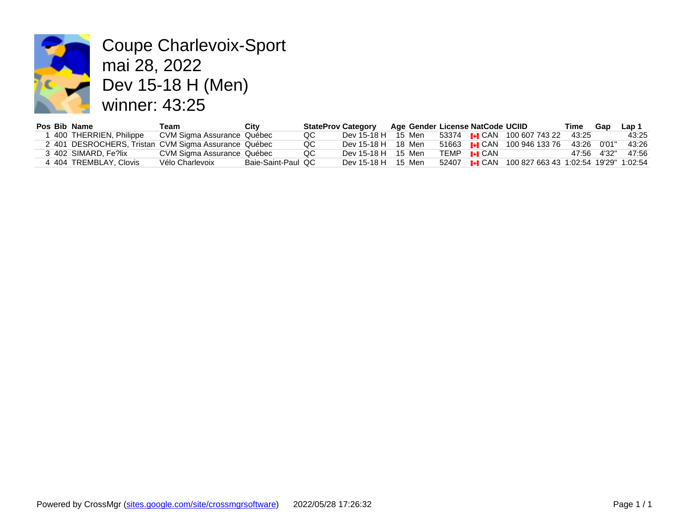

Coupe Charlevoix-Sport mai 28, 2022 Dev 15-18 H (Men) winner: 43:25

|  | Pos Bib Name                                         | Геаm                       | City               | <b>StateProv Category</b> |                                        |  |                      | Age Gender License NatCode UCIID |  |
|--|------------------------------------------------------|----------------------------|--------------------|---------------------------|----------------------------------------|--|----------------------|----------------------------------|--|
|  | 400 THERRIEN, Philippe                               | CVM Sigma Assurance Québec |                    | QC                        | Dev 15-18 H 15 Men 53374 MH CAN 100 60 |  |                      |                                  |  |
|  | 2 401 DESROCHERS, Tristan CVM Sigma Assurance Québec |                            |                    | QC                        | Dev 15-18 H 18 Men                     |  |                      | 51663 <b>I</b> II CAN 10094      |  |
|  | 3 402 SIMARD, Fe?lix                                 | CVM Sigma Assurance Québec |                    | QC                        | Dev 15-18 H 15 Men                     |  | TEMP <b>I</b> •I CAN |                                  |  |
|  | 4 404 TREMBLAY, Clovis                               | Vélo Charlevoix            | Baie-Saint-Paul QC |                           | Dev 15-18 H 15 Men                     |  |                      | 52407 I∙ICAN 100.82I             |  |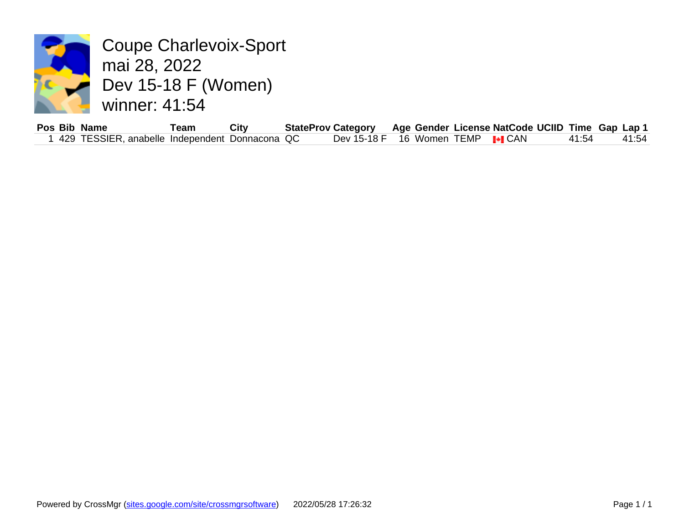

Coupe Charlevoix-Sport **mai 28, 2022** Dev 15-18 F (Women) winner: 41:54

**Pos Bib Name Team City StateProv Category Age Gender License NatCod**<br>1 429 TESSIER, anabelle Independent Donnacona QC **Dev 15-18 F** 16 Women TEMP **I**II CAN 1 429 TESSIER, anabelle Independent Donnacona QC Dev 15-18 F 16 Women TEMP I. CAN